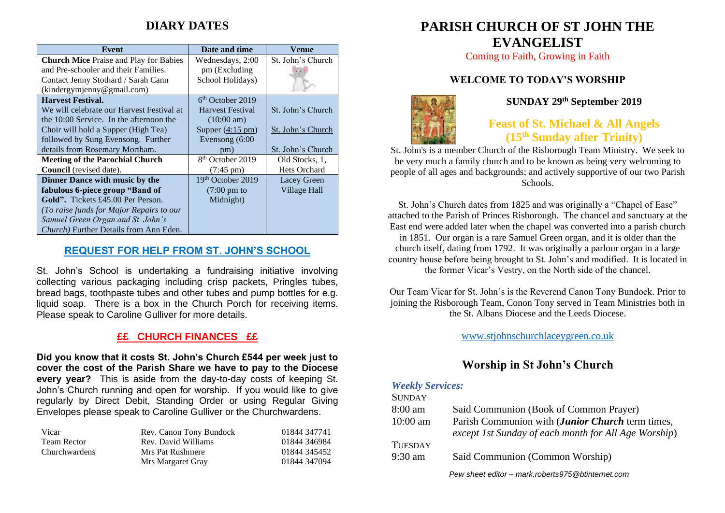# **DIARY DATES**

| Event                                          | Date and time                | Venue               |
|------------------------------------------------|------------------------------|---------------------|
| <b>Church Mice Praise and Play for Babies</b>  | Wednesdays, 2:00             | St. John's Church   |
| and Pre-schooler and their Families.           | pm (Excluding                |                     |
| Contact Jenny Stothard / Sarah Cann            | School Holidays)             |                     |
| (kindergymjenny@gmail.com)                     |                              |                     |
| <b>Harvest Festival.</b>                       | $6th$ October 2019           |                     |
| We will celebrate our Harvest Festival at      | <b>Harvest Festival</b>      | St. John's Church   |
| the 10:00 Service. In the afternoon the        | $(10:00 \text{ am})$         |                     |
| Choir will hold a Supper (High Tea)            | Supper $(4:15 \text{ pm})$   | St. John's Church   |
| followed by Sung Evensong. Further             | Evensong $(6:00)$            |                     |
| details from Rosemary Mortham.                 | pm)                          | St. John's Church   |
| <b>Meeting of the Parochial Church</b>         | 8 <sup>th</sup> October 2019 | Old Stocks, 1,      |
| Council (revised date).                        | $(7:45 \text{ pm})$          | <b>Hets Orchard</b> |
| Dinner Dance with music by the                 | 19th October 2019            | Lacey Green         |
| fabulous 6-piece group "Band of                | $(7:00 \text{ pm to})$       | Village Hall        |
| <b>Gold".</b> Tickets £45.00 Per Person.       | Midnight)                    |                     |
| (To raise funds for Major Repairs to our       |                              |                     |
| Samuel Green Organ and St. John's              |                              |                     |
| <i>Church</i> ) Further Details from Ann Eden. |                              |                     |

### **REQUEST FOR HELP FROM ST. JOHN'S SCHOOL**

St. John's School is undertaking a fundraising initiative involving collecting various packaging including crisp packets, Pringles tubes, bread bags, toothpaste tubes and other tubes and pump bottles for e.g. liquid soap. There is a box in the Church Porch for receiving items. Please speak to Caroline Gulliver for more details.

### **££ CHURCH FINANCES ££**

**Did you know that it costs St. John's Church £544 per week just to cover the cost of the Parish Share we have to pay to the Diocese every year?** This is aside from the day-to-day costs of keeping St. John's Church running and open for worship. If you would like to give regularly by Direct Debit, Standing Order or using Regular Giving Envelopes please speak to Caroline Gulliver or the Churchwardens.

| Vicar         | Rev. Canon Tony Bundock | 01844 347741 |
|---------------|-------------------------|--------------|
| Team Rector   | Rev. David Williams     | 01844 346984 |
| Churchwardens | Mrs Pat Rushmere        | 01844 345452 |
|               | Mrs Margaret Gray       | 01844 347094 |

# **PARISH CHURCH OF ST JOHN THE EVANGELIST**

Coming to Faith, Growing in Faith

### **WELCOME TO TODAY'S WORSHIP**



**SUNDAY 29 th September 2019**

## **Feast of St. Michael & All Angels (15 th Sunday after Trinity)**

St. John's is a member Church of the Risborough Team Ministry. We seek to be very much a family church and to be known as being very welcoming to people of all ages and backgrounds; and actively supportive of our two Parish Schools.

St. John's Church dates from 1825 and was originally a "Chapel of Ease" attached to the Parish of Princes Risborough. The chancel and sanctuary at the East end were added later when the chapel was converted into a parish church in 1851. Our organ is a rare Samuel Green organ, and it is older than the church itself, dating from 1792. It was originally a parlour organ in a large country house before being brought to St. John's and modified. It is located in the former Vicar's Vestry, on the North side of the chancel.

Our Team Vicar for St. John's is the Reverend Canon Tony Bundock. Prior to joining the Risborough Team, Conon Tony served in Team Ministries both in the St. Albans Diocese and the Leeds Diocese.

[www.stjohnschurchlaceygreen.co.uk](http://www.stjohnschurchlaceygreen.co.uk/)

### **Worship in St John's Church**

#### *Weekly Services:*  $C$ *UNDAY*

| <b>SUNDAY</b>     |                                                                                                          |
|-------------------|----------------------------------------------------------------------------------------------------------|
| $8:00 \text{ am}$ | Said Communion (Book of Common Prayer)                                                                   |
| $10:00$ am        | Parish Communion with (Junior Church term times,<br>except 1st Sunday of each month for All Age Worship) |
| <b>TUESDAY</b>    |                                                                                                          |
| $9:30$ am         | Said Communion (Common Worship)                                                                          |
|                   | Pew sheet editor – mark roberts975@btinternet.com                                                        |